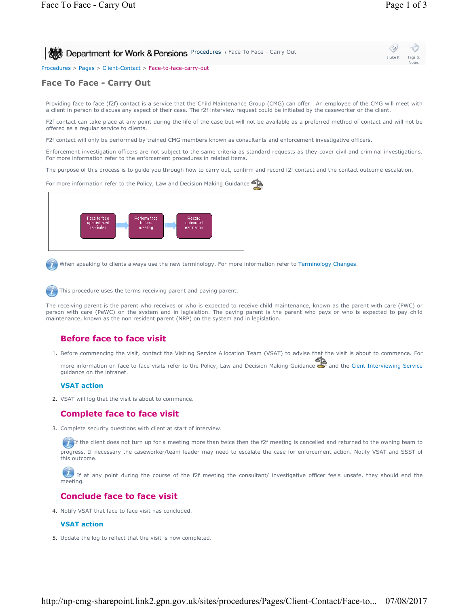| Department for Work & Pensions Procedures > Face To Face - Carry Out | $\begin{array}{ccc} \circ & \circ & \circ \end{array}$ |
|----------------------------------------------------------------------|--------------------------------------------------------|
|                                                                      | I Like It Tags &<br><b>Notes</b>                       |
| Procedures > Pages > Client-Contact > Face-to-face-carry-out         |                                                        |

## **Face To Face - Carry Out**

Providing face to face (f2f) contact is a service that the Child Maintenance Group (CMG) can offer. An employee of the CMG will meet with a client in person to discuss any aspect of their case. The f2f interview request could be initiated by the caseworker or the client.

F2f contact can take place at any point during the life of the case but will not be available as a preferred method of contact and will not be offered as a regular service to clients.

F2f contact will only be performed by trained CMG members known as consultants and enforcement investigative officers.

Enforcement investigation officers are not subject to the same criteria as standard requests as they cover civil and criminal investigations. For more information refer to the enforcement procedures in related items.

The purpose of this process is to guide you through how to carry out, confirm and record f2f contact and the contact outcome escalation.



When speaking to clients always use the new terminology. For more information refer to Terminology Changes.

This procedure uses the terms receiving parent and paying parent.

The receiving parent is the parent who receives or who is expected to receive child maintenance, known as the parent with care (PWC) or person with care (PeWC) on the system and in legislation. The paying parent is the parent who pays or who is expected to pay child maintenance, known as the non resident parent (NRP) on the system and in legislation.

# **Before face to face visit**

1. Before commencing the visit, contact the Visiting Service Allocation Team (VSAT) to advise that the visit is about to commence. For

more information on face to face visits refer to the Policy, Law and Decision Making Guidance and the Cient Interviewing Service guidance on the intranet.

### **VSAT action**

2. VSAT will log that the visit is about to commence.

### **Complete face to face visit**

3. Complete security questions with client at start of interview.

If the client does not turn up for a meeting more than twice then the f2f meeting is cancelled and returned to the owning team to progress. If necessary the caseworker/team leader may need to escalate the case for enforcement action. Notify VSAT and SSST of this outcome.

If at any point during the course of the f2f meeting the consultant/ investigative officer feels unsafe, they should end the meeting.

### **Conclude face to face visit**

4. Notify VSAT that face to face visit has concluded.

### **VSAT action**

5. Update the log to reflect that the visit is now completed.